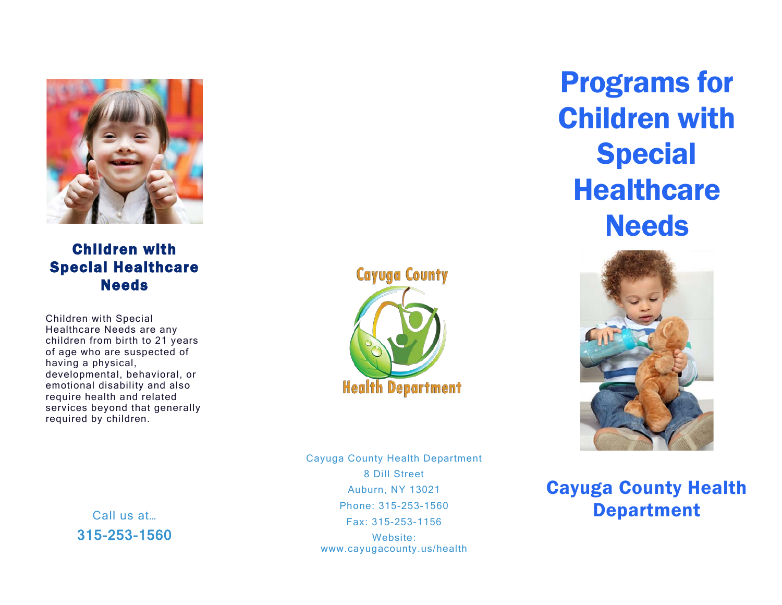

Children with Special Healthcare **Needs** 

Children with Special Healthcare Needs are any children from birth to 21 years of age who are suspected of having a physical, developmental, behavioral, or emotional disability and also require health and related services beyond that generally required by children.

> Call us at 315-253-1560



Cayuga County Health Department 8 Dill Street Auburn, NY 13021 Phone: 315-253-1560 Fax: 315-253-1156 Website: www.cayugacounty.us/health

# Programs for Children with Special **Healthcare Needs**



**Department** Cayuga County Health